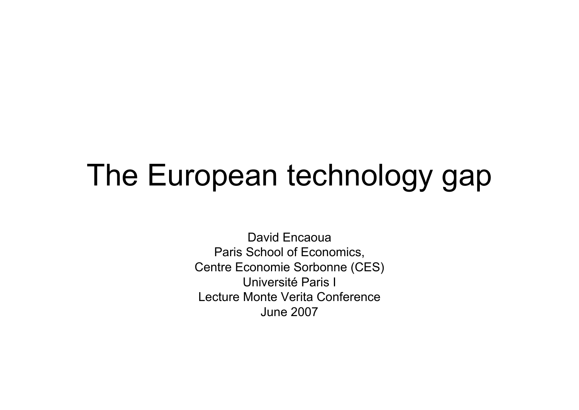## The European technology gap

David EncaouaParis School of Economics, Centre Economie Sorbonne (CES) Université Paris ILecture Monte Verita ConferenceJune 2007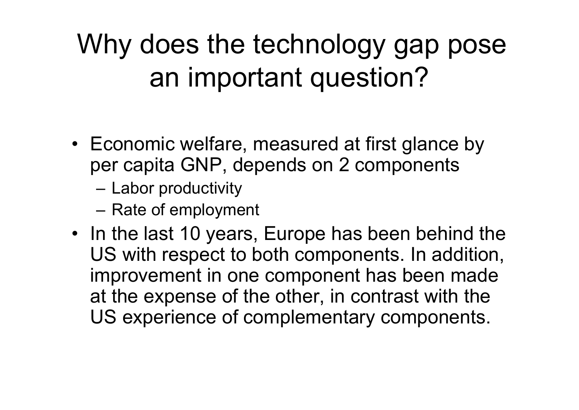Why does the technology gap pose an important question?

- Economic welfare, measured at first glance by per capita GNP, depends on 2 components
	- –Labor productivity
	- –Rate of employment
- In the last 10 years, Europe has been behind the US with respect to both components. In addition, improvement in one component has been made at the expense of the other, in contrast with the US experience of complementary components.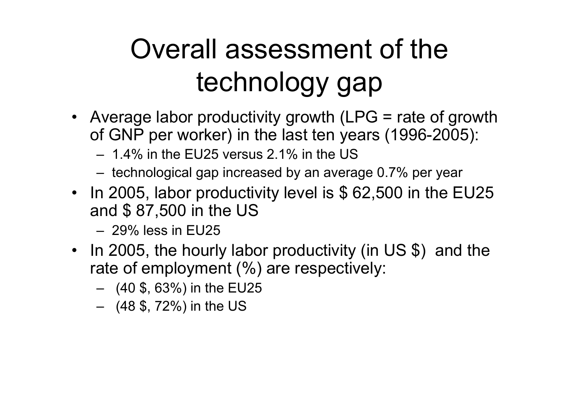## Overall assessment of the technology gap

- Average labor productivity growth (LPG = rate of growth of GNP per worker) in the last ten years (1996-2005):
	- 1.4% in the EU25 versus 2.1% in the US
	- technological gap increased by an average 0.7% per year
- In 2005, labor productivity level is \$62,500 in the EU25 and \$ 87,500 in the US
	- 29% less in EU25
- In 2005, the hourly labor productivity (in US \$) and the rate of employment (%) are respectively:
	- (40 \$, 63%) in the EU25
	- (48 \$, 72%) in the US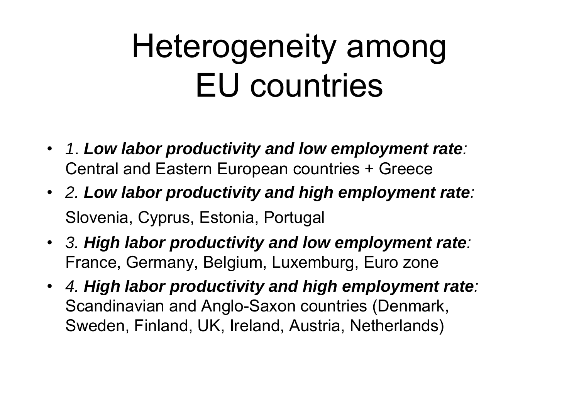# Heterogeneity among EU countries

- *1*. *Low labor productivity and low employment rate :* Central and Eastern European countries + Greece
- *2. Low labor productivity and high employment rate :* Slovenia, Cyprus, Estonia, Portugal
- *3. High labor productivity and low employment rate :* France, Germany, Belgium, Luxemburg, Euro zone
- *4. High labor productivity and high employment rate :* Scandinavian and Anglo-Saxon countries (Denmark, Sweden, Finland, UK, Ireland, Austria, Netherlands)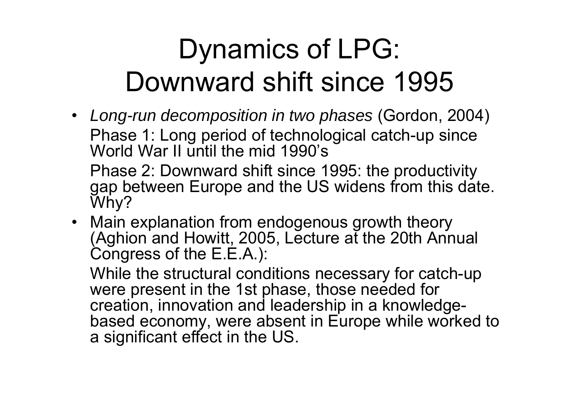#### Dynamics of LPG: Downward shift since 1995

• *Long-run decomposition in two phases* (Gordon, 2004) Phase 1: Long period of technological catch-up since World War II until the mid 1990's

Phase 2: Downward shift since 1995: the productivity gap between Europe and the US widens from this date. Why?

• Main explanation from endogenous growth theory (Aghion and Howitt, 2005, Lecture at the 20th Annual Congress of the E.E.A.):

While the structural conditions necessary for catch-up were present in the 1st phase, those needed for creation, innovation and leadership in a knowledgebased economy, were absent in Europe while worked to a significant effect in the US.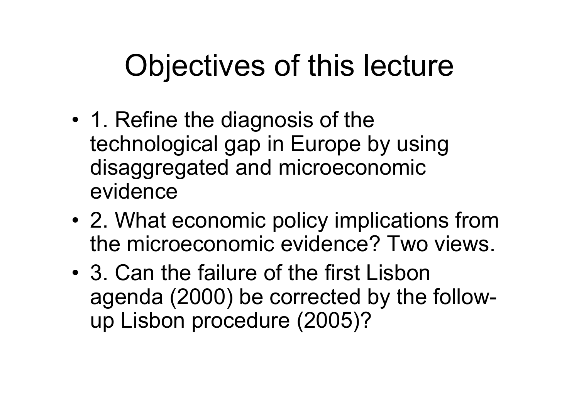# Objectives of this lecture

- • 1. Refine the diagnosis of the technological gap in Europe by using disaggregated and microeconomic evidence
- • 2. What economic policy implications from the microeconomic evidence? Two views.
- 3. Can the failure of the first Lisbon agenda (2000) be corrected by the followup Lisbon procedure (2005)?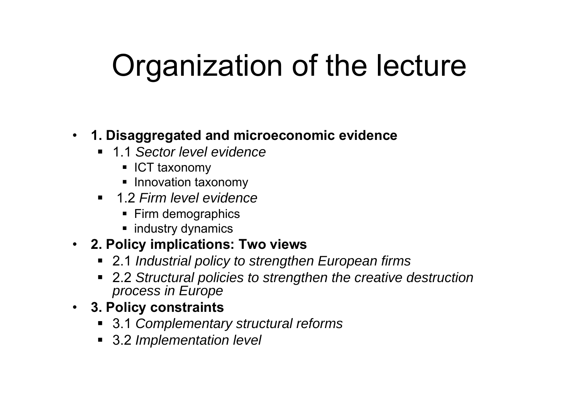# Organization of the lecture

#### • **1. Disaggregated and microeconomic evidence**

- 1.1 *Sector level evidence*
	- ICT taxonomy
	- **Innovation taxonomy**
- 1.2 *Firm level evidence*
	- Firm demographics
	- **•** industry dynamics

#### • **2. Policy implications: Two views**

- 2.1 *Industrial policy to strengthen European firms*
- 2.2 *Structural policies to strengthen the creative destruction process in Europe*
- **3. Policy constraints**
	- 3.1 *Complementary structural reforms*
	- 3.2 *Implementation level*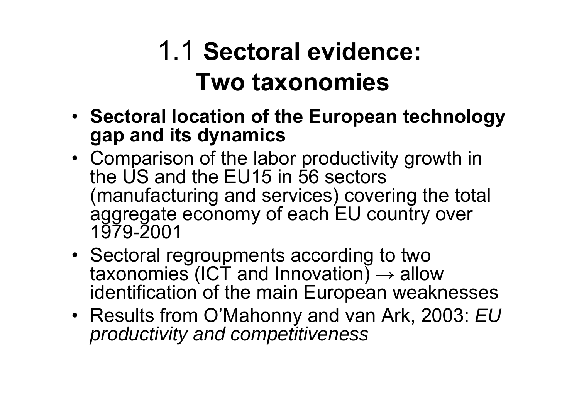#### 1.1 **Sectoral evidence: Two taxonomies**

- **Sectoral location of the European technology gap and its dynamics**
- Comparison of the labor productivity growth in the US and the EU15 in 56 sectors (manufacturing and services) covering the total aggregate economy of each EU country over 1979-2001
- Sectoral regroupments according to two taxonomies (ICT and Innovation)  $\rightarrow$  allow identification of the main European weaknesses
- Results from O'Mahonny and van Ark, 2003: *EU productivity and competitiveness*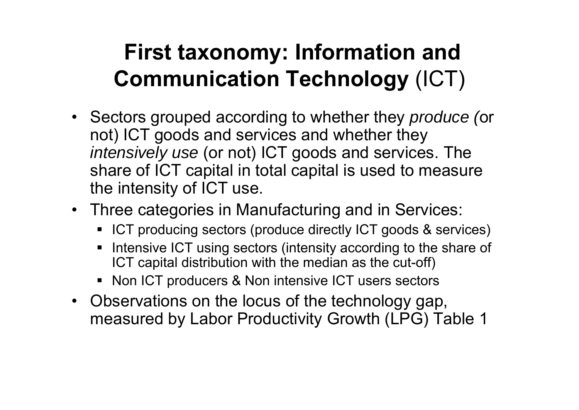#### **First taxonomy: Information and Communication Technology** (ICT)

- Sectors grouped according to whether they *produce (*or not) ICT goods and services and whether they *intensively use* (or not) ICT goods and services. The share of ICT capital in total capital is used to measure the intensity of ICT use.
- Three categories in Manufacturing and in Services:
	- **ICT** producing sectors (produce directly ICT goods & services)
	- ٠ Intensive ICT using sectors (intensity according to the share of ICT capital distribution with the median as the cut-off)
	- **Non ICT producers & Non intensive ICT users sectors**
- Observations on the locus of the technology gap, measured by Labor Productivity Growth (LPG) Table 1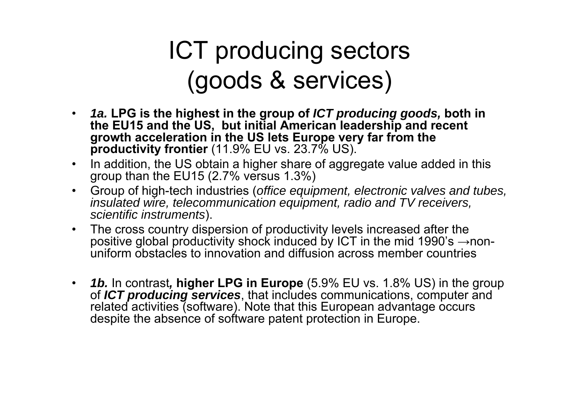#### ICT producing sectors (goods & services)

- $\bullet$  *1a.* **LPG is the highest in the group of** *ICT producing goods,* **both in the EU15 and the US, but initial American leadership and recent growth acceleration in the US lets Europe very far from the productivity frontier** (11.9% EU vs. 23.7% US).
- $\bullet$  In addition, the US obtain a higher share of aggregate value added in this group than the EU15 (2.7% versus 1.3%)
- $\bullet$  Group of high-tech industries (*office equipment, electronic valves and tubes, insulated wire, telecommunication equipment, radio and TV receivers, scientific instruments*).
- $\bullet$  The cross country dispersion of productivity levels increased after the positive global productivity shock induced by ICT in the mid 1990's  $\rightarrow$ nonuniform obstacles to innovation and diffusion across member countries
- $\bullet$  *1b.* In contrast*,* **higher LPG in Europe** (5.9% EU vs. 1.8% US) in the group of *ICT producing services*, that includes communications, computer and related activities (software). Note that this European advantage occurs despite the absence of software patent protection in Europe.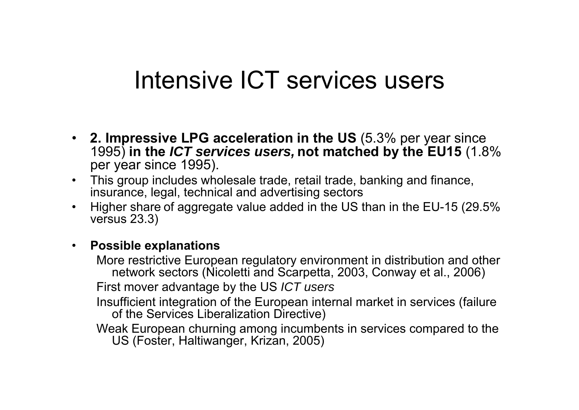#### Intensive ICT services users

- **2. Impressive LPG acceleration in the US** (5.3% per year since 1995) **in the** *ICT services users,* **not matched by the EU15** (1.8% per year since 1995).
- This group includes wholesale trade, retail trade, banking and finance, insurance, legal, technical and advertising sectors
- $\bullet$  Higher share of aggregate value added in the US than in the EU-15 (29.5% versus 23.3)

#### $\bullet$ **Possible explanations**

More restrictive European regulatory environment in distribution and other network sectors (Nicoletti and Scarpetta, 2003, Conway et al., 2006) First mover advantage by the US *ICT users*

Insufficient integration of the European internal market in services (failure of the Services Liberalization Directive)

Weak European churning among incumbents in services compared to the US (Foster, Haltiwanger, Krizan, 2005)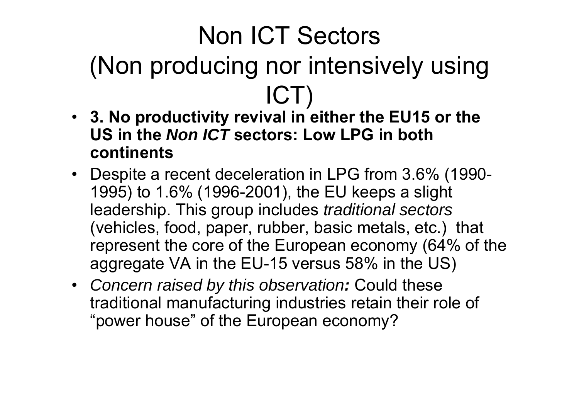#### Non ICT Sectors (Non producing nor intensively using ICT)

- **3. No productivity revival in either the EU15 or the US in the** *Non ICT* **sectors: Low LPG in both continents**
- Despite a recent deceleration in LPG from 3.6% (1990- 1995) to 1.6% (1996-2001), the EU keeps a slight leadership. This group includes *traditional sectors*  (vehicles, food, paper, rubber, basic metals, etc.) that represent the core of the European economy (64% of the aggregate VA in the EU-15 versus 58% in the US)
- *Concern raised by this observation :* Could these traditional manufacturing industries retain their role of "power house" of the European economy?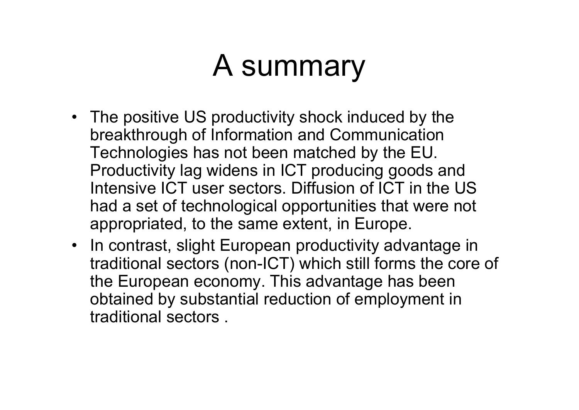# A summary

- The positive US productivity shock induced by the breakthrough of Information and Communication Technologies has not been matched by the EU. Productivity lag widens in ICT producing goods and Intensive ICT user sectors. Diffusion of ICT in the US had a set of technological opportunities that were not appropriated, to the same extent, in Europe.
- In contrast, slight European productivity advantage in traditional sectors (non-ICT) which still forms the core of the European economy. This advantage has been obtained by substantial reduction of employment in traditional sectors .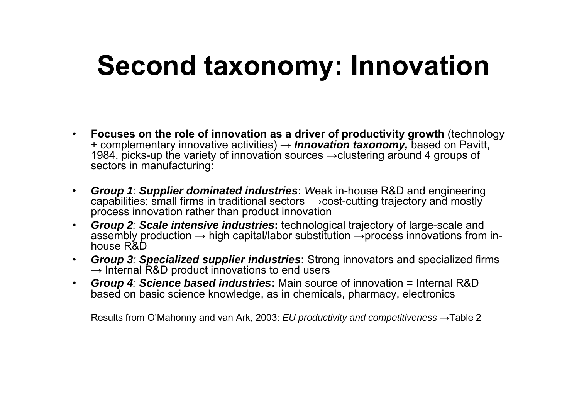#### **Second taxonomy: Innovation**

- • **Focuses on the role of innovation as a driver of productivity growth** (technology + complementary innovative activities) → *Innovation taxonomy,* based on Pavitt, 1984, picks-up the variety of innovation sources →clustering around 4 groups of sectors in manufacturing:
- • *Group 1: Supplier dominated industries***:** *W*eak in-house R&D and engineering capabilities; small firms in traditional sectors <sup>→</sup>cost-cutting trajectory and mostly process innovation rather than product innovation
- • *Group 2: Scale intensive industries***:** technological trajectory of large-scale and assembly production  $\rightarrow$  high capital/labor substitution  $\rightarrow$ process innovations from inhouse R&D
- • *Group 3: Specialized supplier industries***:** Strong innovators and specialized firms  $\rightarrow$  Internal R&D product innovations to end users
- • *Group 4: Science based industries***:** Main source of innovation *<sup>=</sup>*Internal R&D based on basic science knowledge, as in chemicals, pharmacy, electronics

Results from O'Mahonny and van Ark, 2003: *EU productivity and competitiveness*  →Table 2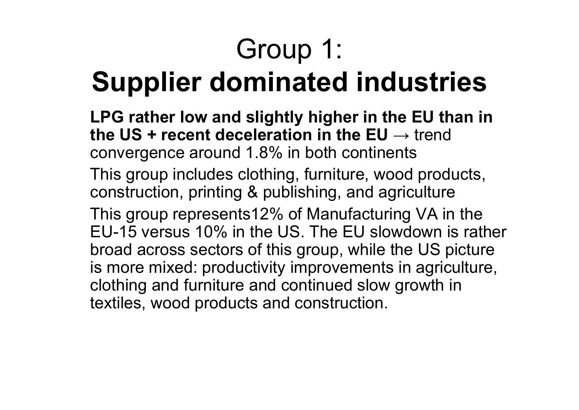# Group 1:

#### **Supplier dominated industries**

**LPG rather low and slightly higher in the EU than in the US + recent deceleration in the EU** → trend\_ convergence around 1.8% in both continents

This group includes clothing, furniture, wood products, construction, printing & publishing, and agriculture This group represents12% of Manufacturing VA in the EU-15 versus 10% in the US. The EU slowdown is rather broad across sectors of this group, while the US picture is more mixed: productivity improvements in agriculture, clothing and furniture and continued slow growth in textiles, wood products and construction.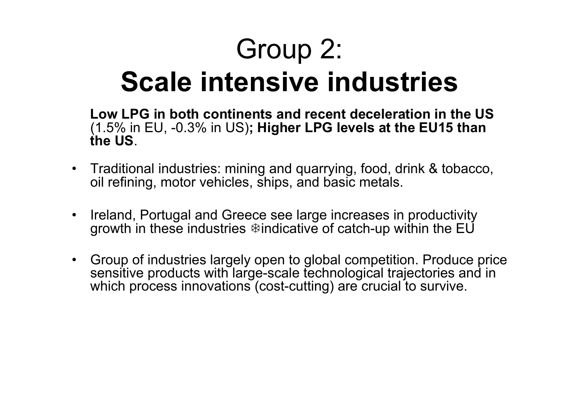# Group 2:

#### **Scale intensive industries**

**Low LPG in both continents and recent deceleration in the US** (1.5% in EU, -0.3% in US)**; Higher LPG levels at the EU15 than the US**.

- Traditional industries: mining and quarrying, food, drink & tobacco, oil refining, motor vehicles, ships, and basic metals.
- Ireland, Portugal and Greece see large increases in productivity growth in these industries  $\ddot{\ast}$  indicative of catch-up within the EU
- Group of industries largely open to global competition. Produce price sensitive products with large-scale technological trajectories and in which process innovations (cost-cutting) are crucial to survive.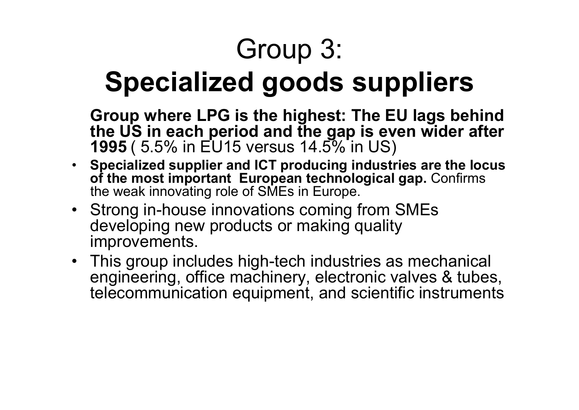# Group 3:

#### **Specialized goods suppliers**

**Group where LPG is the highest: The EU lags behind the US in each period and the gap is even wider after 1995** ( 5.5% in EU15 versus 14.5% in US)

- **Specialized supplier and ICT producing industries are the locus of the most important European technological gap.** Confirms the weak innovating role of SMEs in Europe.
- Strong in-house innovations coming from SMEs developing new products or making quality improvements.
- This group includes high-tech industries as mechanical engineering, office machinery, electronic valves & tubes, telecommunication equipment, and scientific instruments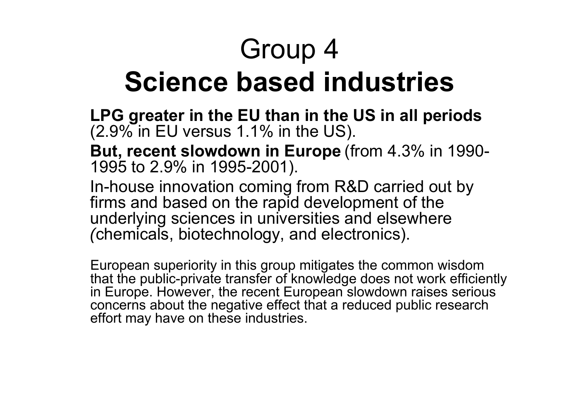## Group 4 **Science based industries**

**LPG greater in the EU than in the US in all periods**  $(2.9\%$  in EU versus 1.1% in the US).

**But, recent slowdown in Europe** (from 4.3% in 1990- 1995 to 2.9% in 1995-2001).

In-house innovation coming from R&D carried out by firms and based on the rapid development of the underlying sciences in universities and elsewhere *(*chemicals, biotechnology, and electronics).

European superiority in this group mitigates the common wisdom that the public-private transfer of knowledge does not work efficiently in Europe. However, the recent European slowdown raises serious concerns about the negative effect that a reduced public research effort may have on these industries.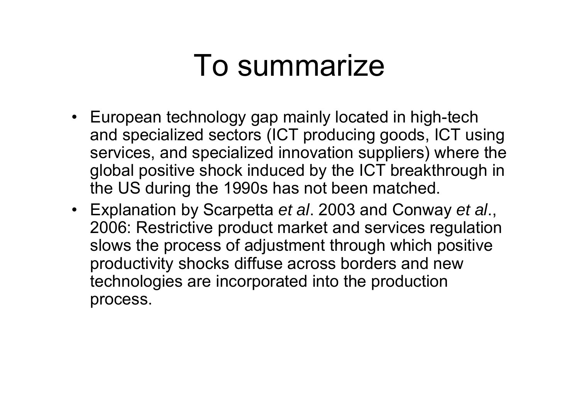#### To summarize

- European technology gap mainly located in high-tech and specialized sectors (ICT producing goods, ICT using services, and specialized innovation suppliers) where the global positive shock induced by the ICT breakthrough in the US during the 1990s has not been matched.
- Explanation by Scarpetta *et al*. 2003 and Conway *et al*., 2006: Restrictive product market and services regulation slows the process of adjustment through which positive productivity shocks diffuse across borders and new technologies are incorporated into the production process.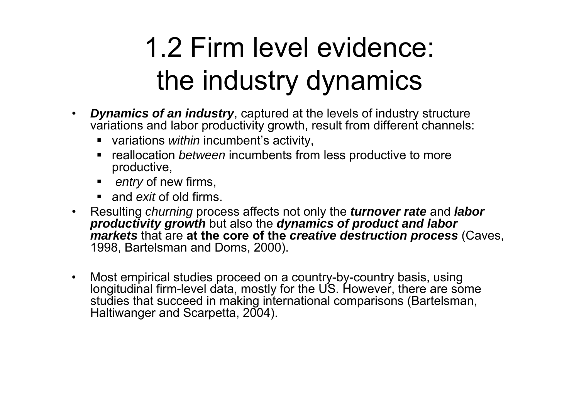#### 1.2 Firm level evidence: the industry dynamics

- $\bullet$  *Dynamics of an industry*, captured at the levels of industry structure variations and labor productivity growth, result from different channels:
	- variations *within* incumbent's activity,
	- **•** reallocation *between* incumbents from less productive to more productive,
	- *entry* of new firms,
	- and *exit* of old firms.
- Resulting *churning* process affects not only the *turnover rate* and *labor productivity growth* but also the *dynamics of product and labor markets* that are **at the core of the** *creative destruction process* (Caves, 1998, Bartelsman and Doms, 2000).
- $\bullet$  Most empirical studies proceed on a country-by-country basis, using longitudinal firm-level data, mostly for the US. However, there are some studies that succeed in making international comparisons (Bartelsman, Haltiwanger and Scarpetta, 2004).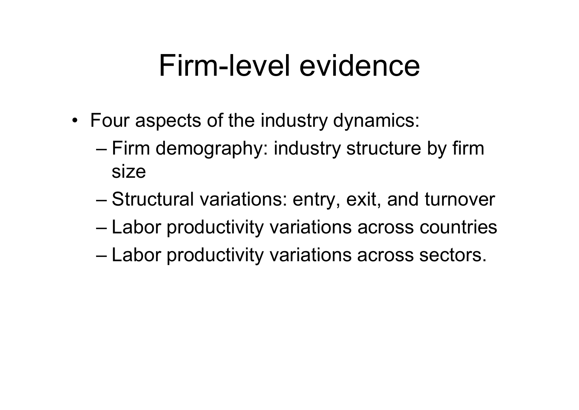#### Firm-level evidence

- Four aspects of the industry dynamics:
	- – Firm demography: industry structure by firm size
	- –Structural variations: entry, exit, and turnover
	- –Labor productivity variations across countries
	- –Labor productivity variations across sectors.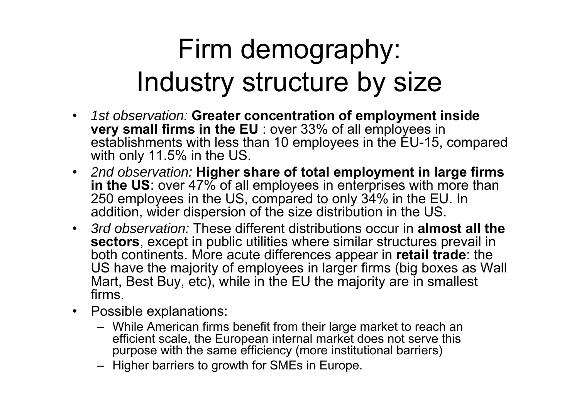#### Firm demography: Industry structure by size

- • *1st observation:* **Greater concentration of employment inside very small firms in the EU** : over 33% of all employees in establishments with less than 10 employees in the EU-15, compared with only 11.5% in the US.
- *2nd observation:* **Higher share of total employment in large firms in the US**: over 47% of all employees in enterprises with more than 250 employees in the US, compared to only 34% in the EU. In addition, wider dispersion of the size distribution in the US.
- *3rd observation:* These different distributions occur in **almost all the sectors**, except in public utilities where similar structures prevail in both continents. More acute differences appear in **retail trade**: the US have the majority of employees in larger firms (big boxes as Wall Mart, Best Buy, etc), while in the EU the majority are in smallest firms.
- Possible explanations:
	- While American firms benefit from their large market to reach an efficient scale, the European internal market does not serve this purpose with the same efficiency (more institutional barriers)
	- Higher barriers to growth for SMEs in Europe.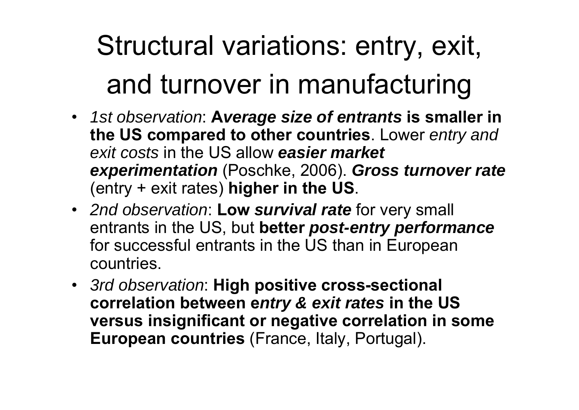# Structural variations: entry, exit, and turnover in manufacturing

- *1st observation*: **A***verage size of entrants* **is smaller in the US compared to other countries**. Lower *entry and exit costs* in the US allow *easier market experimentation* (Poschke, 2006). *Gross turnover rate* (entry + exit rates) **higher in the US**.
- *2nd observation*: **Low** *survival rate* for very small entrants in the US, but **better** *post-entry performance* for successful entrants in the US than in European countries.
- *3rd observation*: **High positive cross-sectional correlation between e***ntry & exit rates* **in the US versus insignificant or negative correlation in some European countries** (France, Italy, Portugal).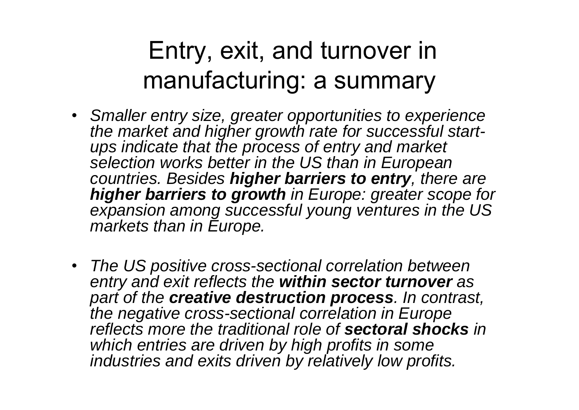#### Entry, exit, and turnover in manufacturing: a summary

- *Smaller entry size, greater opportunities to experience the market and higher growth rate for successful startups indicate that the process of entry and market selection works better in the US than in European countries. Besides higher barriers to entry, there are higher barriers to growth in Europe: greater scope for expansion among successful young ventures in the US markets than in Europe.*
- *The US positive cross-sectional correlation between entry and exit reflects the within sector turnover as part of the creative destruction process. In contrast, the negative cross-sectional correlation in Europe reflects more the traditional role of sectoral shocks in which entries are driven by high profits in some industries and exits driven by relatively low profits.*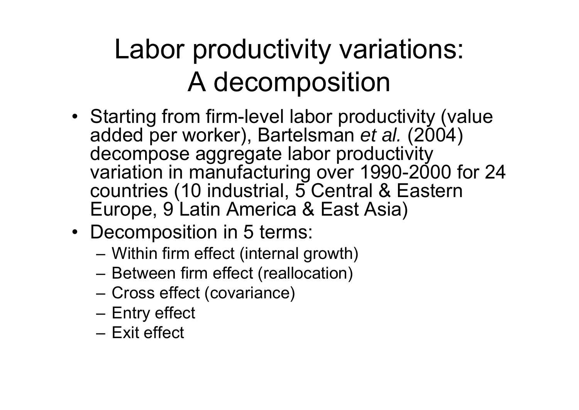#### Labor productivity variations: A decomposition

- Starting from firm-level labor productivity (value added per worker), Bartelsman *et al.* (2004) decompose aggregate labor productivity variation in manufacturing over 1990-2000 for 24 countries (10 industrial, 5 Central & Eastern Europe, 9 Latin America & East Asia)
- Decomposition in 5 terms:
	- Within firm effect (internal growth)
	- –Between firm effect (reallocation)
	- Cross effect (covariance)
	- Entry effect
	- Exit effect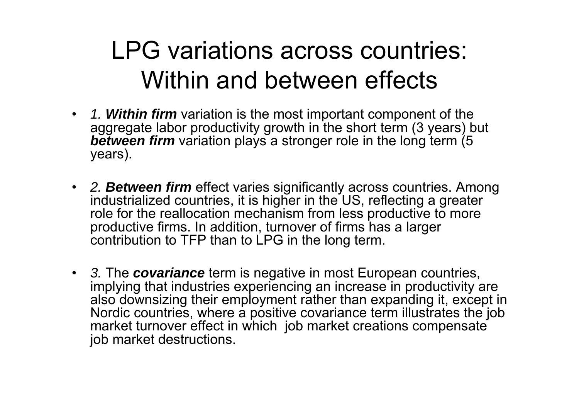#### LPG variations across countries: Within and between effects

- *1. Within firm* variation is the most important component of the aggregate labor productivity growth in the short term (3 years) but *between firm* variation plays a stronger role in the long term (5 years).
- *2. Between firm* effect varies significantly across countries. Among industrialized countries, it is higher in the US, reflecting a greater role for the reallocation mechanism from less productive to more productive firms. In addition, turnover of firms has a larger contribution to TFP than to LPG in the long term.
- *3.* The *covariance* term is negative in most European countries, implying that industries experiencing an increase in productivity are also downsizing their employment rather than expanding it, except in Nordic countries, where a positive covariance term illustrates the job market turnover effect in which job market creations compensate job market destructions.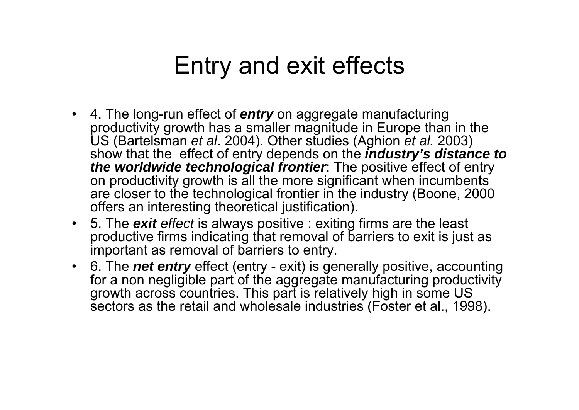#### Entry and exit effects

- 4. The long-run effect of *entry* on aggregate manufacturing productivity growth has a smaller magnitude in Europe than in the US (Bartelsman *et al*. 2004). Other studies (Aghion *et al.* 2003) show that the effect of entry depends on the *industry's distance to the worldwide technological frontier*: The positive effect of entry on productivity growth is all the more significant when incumbents are closer to the technological frontier in the industry (Boone, 2000 offers an interesting theoretical justification).
- 5. The *exit effect* is always positive : exiting firms are the least productive firms indicating that removal of barriers to exit is just as important as removal of barriers to entry.
- 6. The *net entry* effect (entry exit) is generally positive, accounting for a non negligible part of the aggregate manufacturing productivity growth across countries. This part is relatively high in some US sectors as the retail and wholesale industries (Foster et al., 1998).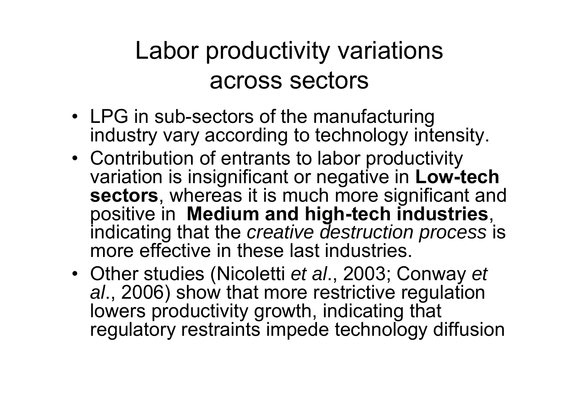#### Labor productivity variations across sectors

- LPG in sub-sectors of the manufacturing industry vary according to technology intensity.
- Contribution of entrants to labor productivity variation is insignificant or negative in **Low-tech sectors**, whereas it is much more significant and positive in **Medium and high-tech industries**, indicating that the *creative destruction process* is more effective in these last industries.
- Other studies (Nicoletti *et al*., 2003; Conway *et al*., 2006) show that more restrictive regulation lowers productivity growth, indicating that regulatory restraints impede technology diffusion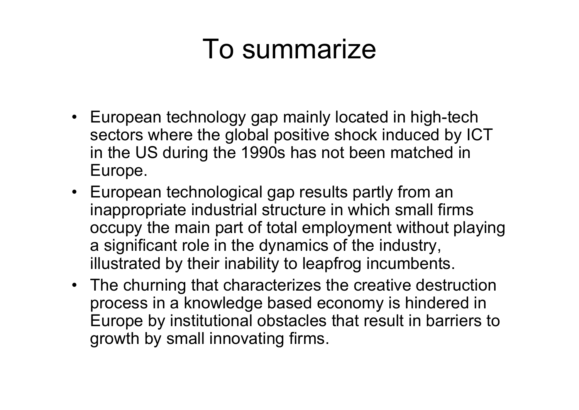#### To summarize

- European technology gap mainly located in high-tech sectors where the global positive shock induced by ICT in the US during the 1990s has not been matched in Europe.
- European technological gap results partly from an inappropriate industrial structure in which small firms occupy the main part of total employment without playing a significant role in the dynamics of the industry, illustrated by their inability to leapfrog incumbents.
- The churning that characterizes the creative destruction process in a knowledge based economy is hindered in Europe by institutional obstacles that result in barriers to growth by small innovating firms.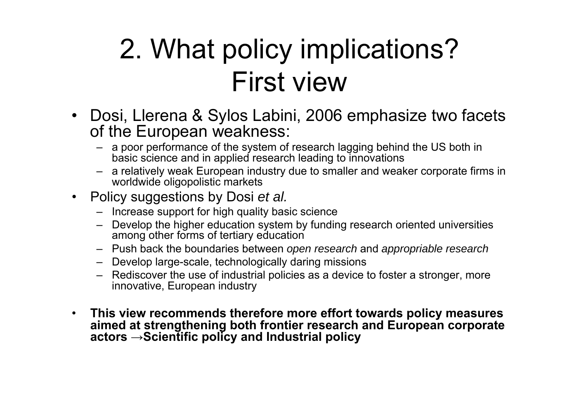#### 2. What policy implications? First view

- $\bullet$  Dosi, Llerena & Sylos Labini, 2006 emphasize two facets of the European weakness:
	- a poor performance of the system of research lagging behind the US both in basic science and in applied research leading to innovations
	- a relatively weak European industry due to smaller and weaker corporate firms in worldwide oligopolistic markets
- Policy suggestions by Dosi *et al.*
	- Increase support for high quality basic science
	- Develop the higher education system by funding research oriented universities among other forms of tertiary education
	- Push back the boundaries between *open research* and *appropriable research*
	- Develop large-scale, technologically daring missions
	- Rediscover the use of industrial policies as a device to foster a stronger, more innovative, European industry
- $\bullet$  **This view recommends therefore more effort towards policy measures aimed at strengthening both frontier research and European corporate actors →Scientific policy and Industrial policy**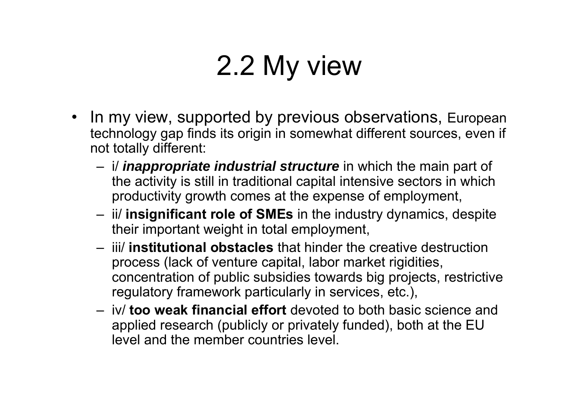#### 2.2 My view

- In my view, supported by previous observations, European technology gap finds its origin in somewhat different sources, even if not totally different:
	- i/ *inappropriate industrial structure* in which the main part of the activity is still in traditional capital intensive sectors in which productivity growth comes at the expense of employment,
	- ii/ **insignificant role of SMEs** in the industry dynamics, despite their important weight in total employment,
	- iii/ **institutional obstacles** that hinder the creative destruction process (lack of venture capital, labor market rigidities, concentration of public subsidies towards big projects, restrictive regulatory framework particularly in services, etc.),
	- iv/ **too weak financial effort** devoted to both basic science and applied research (publicly or privately funded), both at the EU level and the member countries level.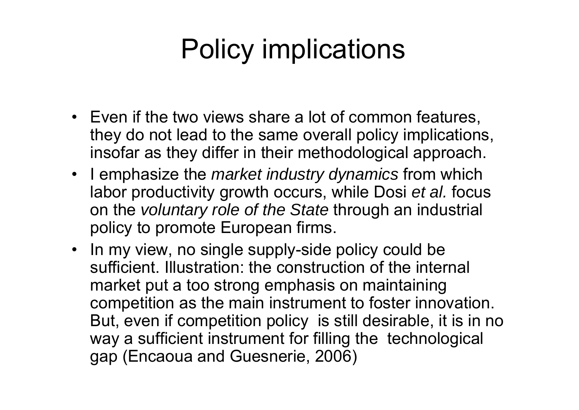#### Policy implications

- Even if the two views share a lot of common features, they do not lead to the same overall policy implications, insofar as they differ in their methodological approach.
- I emphasize the *market industry dynamics* from which labor productivity growth occurs, while Dosi *et al.* focus on the *voluntary role of the State* through an industrial policy to promote European firms.
- In my view, no single supply-side policy could be sufficient. Illustration: the construction of the internal market put a too strong emphasis on maintaining competition as the main instrument to foster innovation. But, even if competition policy is still desirable, it is in no way a sufficient instrument for filling the technological gap (Encaoua and Guesnerie, 2006)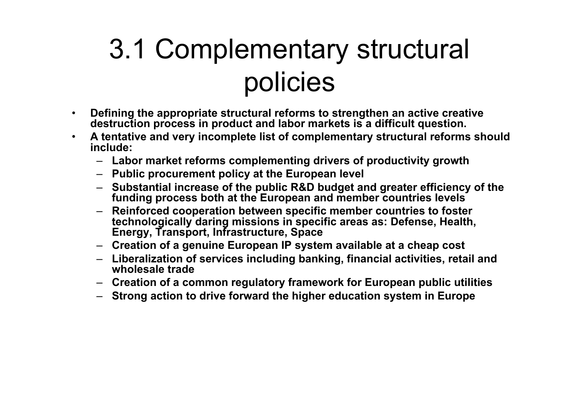#### 3.1 Complementary structural policies

- • **Defining the appropriate structural reforms to strengthen an active creative destruction process in product and labor markets is a difficult question.**
- • **A tentative and very incomplete list of complementary structural reforms should include:** 
	- **Labor market reforms complementing drivers of productivity growth**
	- **Public procurement policy at the European level**
	- **Substantial increase of the public R&D budget and greater efficiency of the funding process both at the European and member countries levels**
	- **Reinforced cooperation between specific member countries to foster technologically daring missions in specific areas as: Defense, Health, Energy, Transport, Infrastructure, Space**
	- **Creation of a genuine European IP system available at a cheap cost**
	- **Liberalization of services including banking, financial activities, retail and wholesale trade**
	- **Creation of a common regulatory framework for European public utilities**
	- **Strong action to drive forward the higher education system in Europe**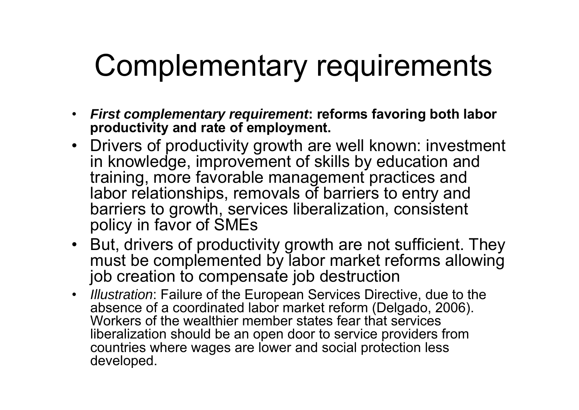# Complementary requirements

- • *First complementary requirement***: reforms favoring both labor productivity and rate of employment.**
- Drivers of productivity growth are well known: investment in knowledge, improvement of skills by education and training, more favorable management practices and labor relationships, removals of barriers to entry and barriers to growth, services liberalization, consistent policy in favor of SMEs
- But, drivers of productivity growth are not sufficient. They must be complemented by labor market reforms allowing job creation to compensate job destruction
- *Illustration*: Failure of the European Services Directive, due to the absence of a coordinated labor market reform (Delgado, 2006). Workers of the wealthier member states fear that services liberalization should be an open door to service providers from countries where wages are lower and social protection less developed.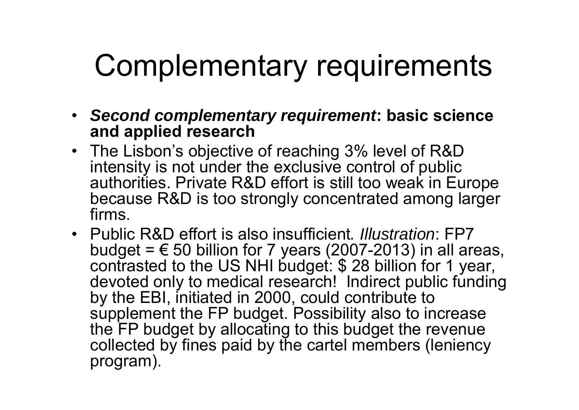# Complementary requirements

- *Second complementary requirement***: basic science and applied research**
- The Lisbon's objective of reaching 3% level of R&D intensity is not under the exclusive control of public authorities. Private R&D effort is still too weak in Europe because R&D is too strongly concentrated among larger firms.
- Public R&D effort is also insufficient*. Illustration*: FP7 budget =  $\epsilon$  50 billion for 7 years (2007-2013) in all areas, contrasted to the US NHI budget: \$ 28 billion for 1 year, devoted only to medical research! Indirect public funding by the EBI, initiated in 2000, could contribute to supplement the FP budget. Possibility also to increase the FP budget by allocating to this budget the revenue collected by fines paid by the cartel members (leniency program).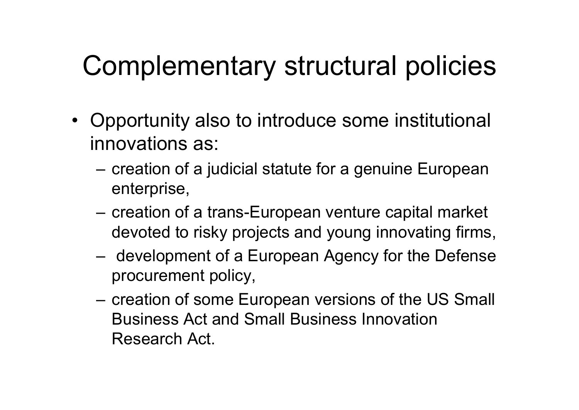#### Complementary structural policies

- Opportunity also to introduce some institutional innovations as:
	- creation of a judicial statute for a genuine European enterprise,
	- – creation of a trans-European venture capital market devoted to risky projects and young innovating firms,
	- development of a European Agency for the Defense procurement policy,
	- creation of some European versions of the US Small Business Act and Small Business Innovation Research Act.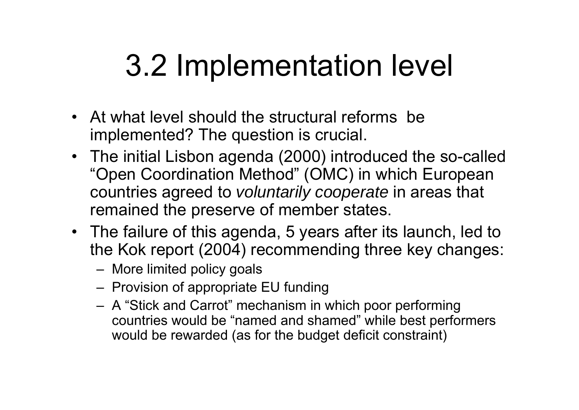# 3.2 Implementation level

- At what level should the structural reforms be implemented? The question is crucial.
- The initial Lisbon agenda (2000) introduced the so-called "Open Coordination Method" (OMC) in which European countries agreed to *voluntarily cooperate* in areas that remained the preserve of member states.
- The failure of this agenda, 5 years after its launch, led to the Kok report (2004) recommending three key changes:
	- More limited policy goals
	- Provision of appropriate EU funding
	- A "Stick and Carrot" mechanism in which poor performing countries would be "named and shamed" while best performers would be rewarded (as for the budget deficit constraint)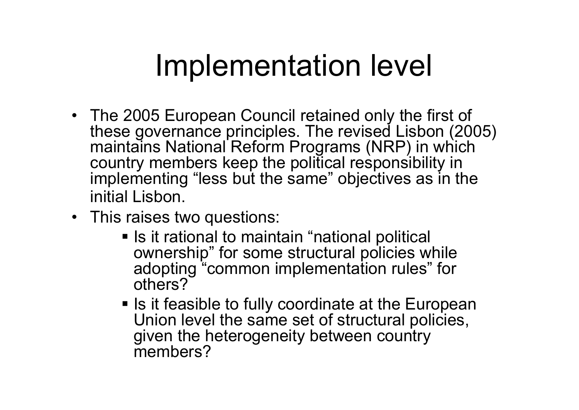#### Implementation level

- The 2005 European Council retained only the first of these governance principles. The revised Lisbon (2005) maintains National Reform Programs (NRP) in which country members keep the political responsibility in implementing "less but the same" objectives as in the initial Lisbon.
- This raises two questions:
	- **Iomal is it rational to maintain "national political** ownership" for some structural policies while adopting "common implementation rules" for others?
	- **Iock 15 it feasible to fully coordinate at the European** Union level the same set of structural policies, given the heterogeneity between country members?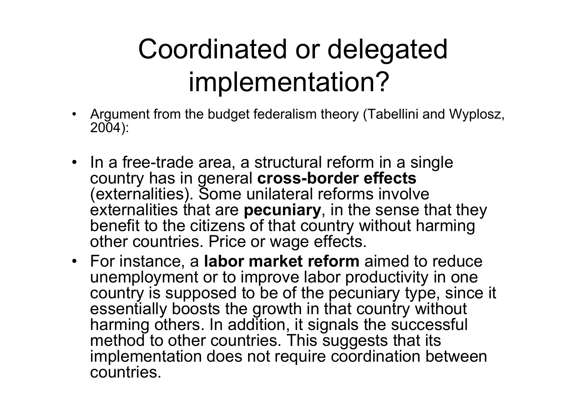#### Coordinated or delegated implementation?

- Argument from the budget federalism theory (Tabellini and Wyplosz, 2004):
- In a free-trade area, a structural reform in a single country has in general **cross-border effects** (externalities). Some unilateral reforms involve externalities that are **pecuniary**, in the sense that they benefit to the citizens of that country without harming other countries. Price or wage effects.
- For instance, a **labor market reform** aimed to reduce unemployment or to improve labor productivity in one country is supposed to be of the pecuniary type, since it essentially boosts the growth in that country without harming others. In addition, it signals the successful method to other countries. This suggests that its implementation does not require coordination between countries.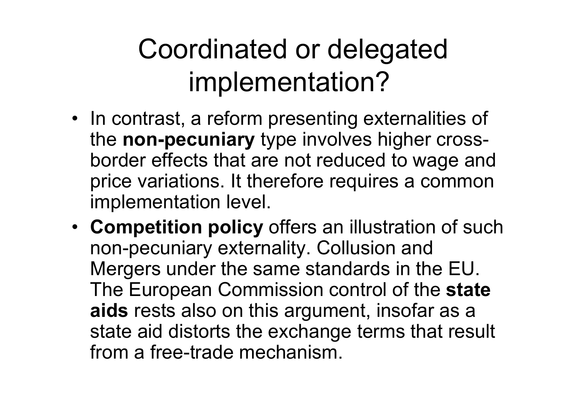#### Coordinated or delegated implementation?

- In contrast, a reform presenting externalities of the **non-pecuniary** type involves higher crossborder effects that are not reduced to wage and price variations. It therefore requires a common implementation level.
- **Competition policy** offers an illustration of such non-pecuniary externality. Collusion and Mergers under the same standards in the EU. The European Commission control of the **state aids** rests also on this argument, insofar as a state aid distorts the exchange terms that result from a free-trade mechanism.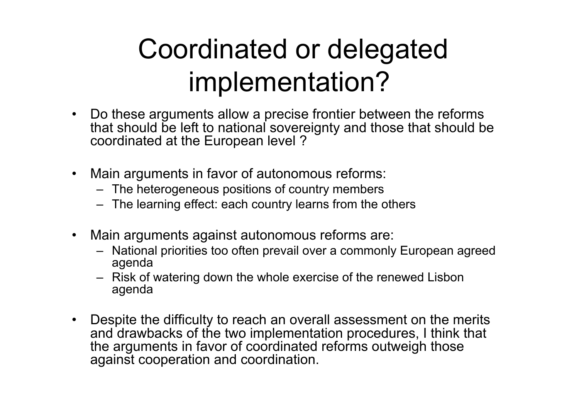#### Coordinated or delegated implementation?

- • Do these arguments allow a precise frontier between the reforms that should be left to national sovereignty and those that should be coordinated at the European level ?
- $\bullet$  Main arguments in favor of autonomous reforms:
	- The heterogeneous positions of country members
	- The learning effect: each country learns from the others
- $\bullet$  Main arguments against autonomous reforms are:
	- National priorities too often prevail over a commonly European agreed agenda
	- Risk of watering down the whole exercise of the renewed Lisbon agenda
- Despite the difficulty to reach an overall assessment on the merits and drawbacks of the two implementation procedures, I think that the arguments in favor of coordinated reforms outweigh those against cooperation and coordination.